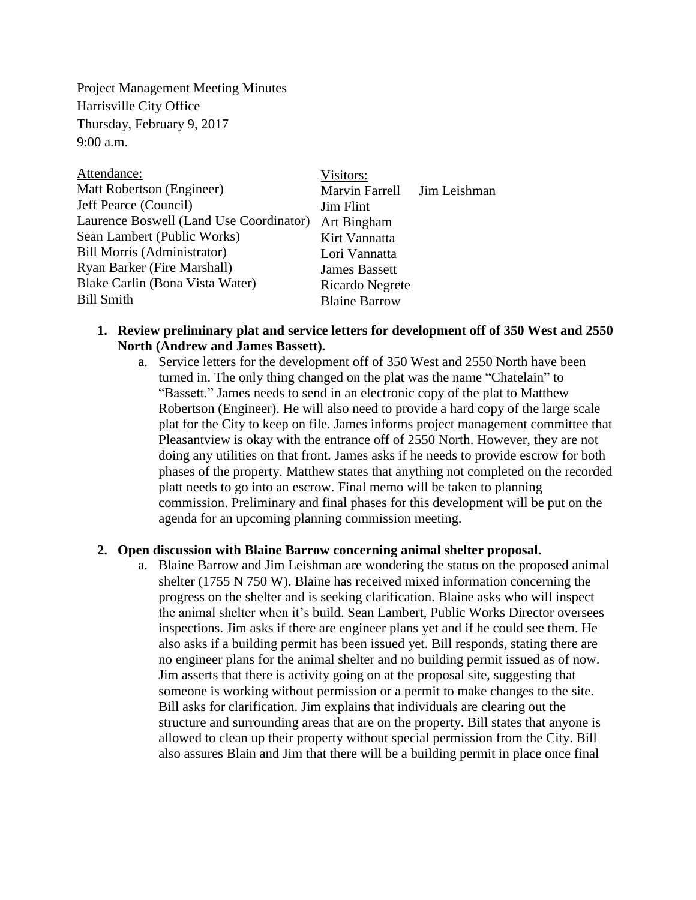Project Management Meeting Minutes Harrisville City Office Thursday, February 9, 2017  $9:00$  a.m.

| Visitors:            |                             |
|----------------------|-----------------------------|
|                      |                             |
| <b>Jim Flint</b>     |                             |
| Art Bingham          |                             |
| Kirt Vannatta        |                             |
| Lori Vannatta        |                             |
| <b>James Bassett</b> |                             |
| Ricardo Negrete      |                             |
| <b>Blaine Barrow</b> |                             |
|                      | Marvin Farrell Jim Leishman |

# **1. Review preliminary plat and service letters for development off of 350 West and 2550 North (Andrew and James Bassett).**

a. Service letters for the development off of 350 West and 2550 North have been turned in. The only thing changed on the plat was the name "Chatelain" to "Bassett." James needs to send in an electronic copy of the plat to Matthew Robertson (Engineer). He will also need to provide a hard copy of the large scale plat for the City to keep on file. James informs project management committee that Pleasantview is okay with the entrance off of 2550 North. However, they are not doing any utilities on that front. James asks if he needs to provide escrow for both phases of the property. Matthew states that anything not completed on the recorded platt needs to go into an escrow. Final memo will be taken to planning commission. Preliminary and final phases for this development will be put on the agenda for an upcoming planning commission meeting.

# **2. Open discussion with Blaine Barrow concerning animal shelter proposal.**

a. Blaine Barrow and Jim Leishman are wondering the status on the proposed animal shelter (1755 N 750 W). Blaine has received mixed information concerning the progress on the shelter and is seeking clarification. Blaine asks who will inspect the animal shelter when it's build. Sean Lambert, Public Works Director oversees inspections. Jim asks if there are engineer plans yet and if he could see them. He also asks if a building permit has been issued yet. Bill responds, stating there are no engineer plans for the animal shelter and no building permit issued as of now. Jim asserts that there is activity going on at the proposal site, suggesting that someone is working without permission or a permit to make changes to the site. Bill asks for clarification. Jim explains that individuals are clearing out the structure and surrounding areas that are on the property. Bill states that anyone is allowed to clean up their property without special permission from the City. Bill also assures Blain and Jim that there will be a building permit in place once final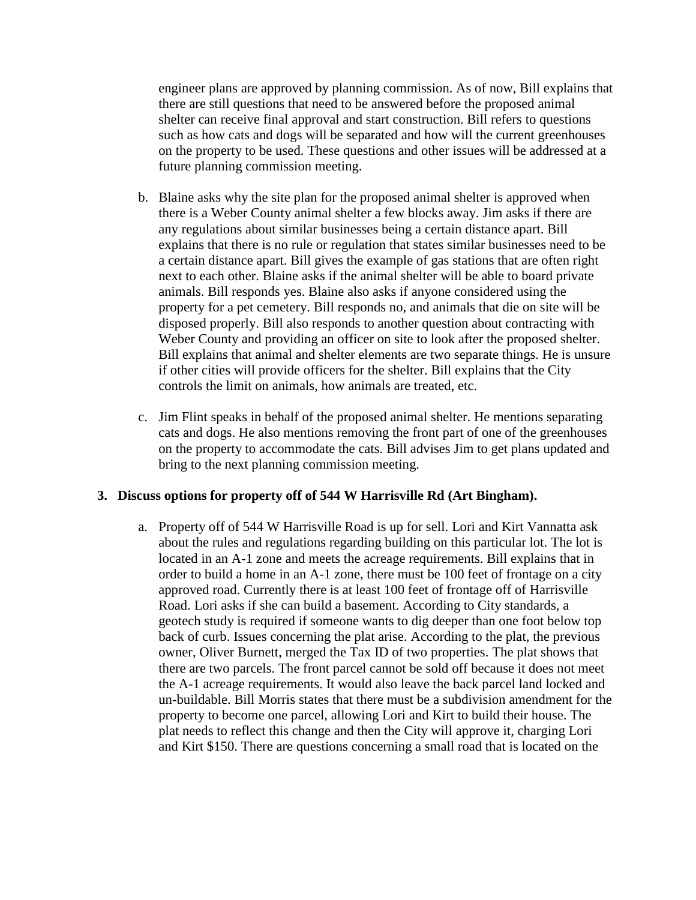engineer plans are approved by planning commission. As of now, Bill explains that there are still questions that need to be answered before the proposed animal shelter can receive final approval and start construction. Bill refers to questions such as how cats and dogs will be separated and how will the current greenhouses on the property to be used. These questions and other issues will be addressed at a future planning commission meeting.

- b. Blaine asks why the site plan for the proposed animal shelter is approved when there is a Weber County animal shelter a few blocks away. Jim asks if there are any regulations about similar businesses being a certain distance apart. Bill explains that there is no rule or regulation that states similar businesses need to be a certain distance apart. Bill gives the example of gas stations that are often right next to each other. Blaine asks if the animal shelter will be able to board private animals. Bill responds yes. Blaine also asks if anyone considered using the property for a pet cemetery. Bill responds no, and animals that die on site will be disposed properly. Bill also responds to another question about contracting with Weber County and providing an officer on site to look after the proposed shelter. Bill explains that animal and shelter elements are two separate things. He is unsure if other cities will provide officers for the shelter. Bill explains that the City controls the limit on animals, how animals are treated, etc.
- c. Jim Flint speaks in behalf of the proposed animal shelter. He mentions separating cats and dogs. He also mentions removing the front part of one of the greenhouses on the property to accommodate the cats. Bill advises Jim to get plans updated and bring to the next planning commission meeting.

# **3. Discuss options for property off of 544 W Harrisville Rd (Art Bingham).**

a. Property off of 544 W Harrisville Road is up for sell. Lori and Kirt Vannatta ask about the rules and regulations regarding building on this particular lot. The lot is located in an A-1 zone and meets the acreage requirements. Bill explains that in order to build a home in an A-1 zone, there must be 100 feet of frontage on a city approved road. Currently there is at least 100 feet of frontage off of Harrisville Road. Lori asks if she can build a basement. According to City standards, a geotech study is required if someone wants to dig deeper than one foot below top back of curb. Issues concerning the plat arise. According to the plat, the previous owner, Oliver Burnett, merged the Tax ID of two properties. The plat shows that there are two parcels. The front parcel cannot be sold off because it does not meet the A-1 acreage requirements. It would also leave the back parcel land locked and un-buildable. Bill Morris states that there must be a subdivision amendment for the property to become one parcel, allowing Lori and Kirt to build their house. The plat needs to reflect this change and then the City will approve it, charging Lori and Kirt \$150. There are questions concerning a small road that is located on the